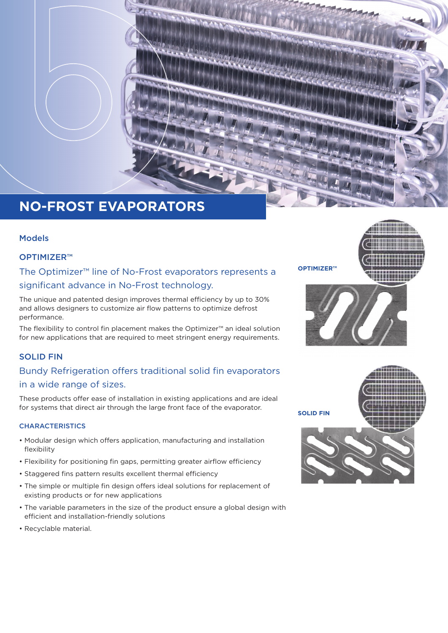

# **NO-FROST EVAPORATORS**

### Models

### OPTIMIZER™

The Optimizer™ line of No-Frost evaporators represents a significant advance in No-Frost technology.

The unique and patented design improves thermal efficiency by up to 30% and allows designers to customize air flow patterns to optimize defrost performance.

The flexibility to control fin placement makes the Optimizer™ an ideal solution for new applications that are required to meet stringent energy requirements.

### SOLID FIN

### Bundy Refrigeration offers traditional solid fin evaporators in a wide range of sizes.

These products offer ease of installation in existing applications and are ideal for systems that direct air through the large front face of the evaporator.

### **CHARACTERISTICS**

- Modular design which offers application, manufacturing and installation flexibility
- Flexibility for positioning fin gaps, permitting greater airflow efficiency
- Staggered fins pattern results excellent thermal efficiency
- The simple or multiple fin design offers ideal solutions for replacement of existing products or for new applications
- The variable parameters in the size of the product ensure a global design with efficient and installation-friendly solutions
- Recyclable material.